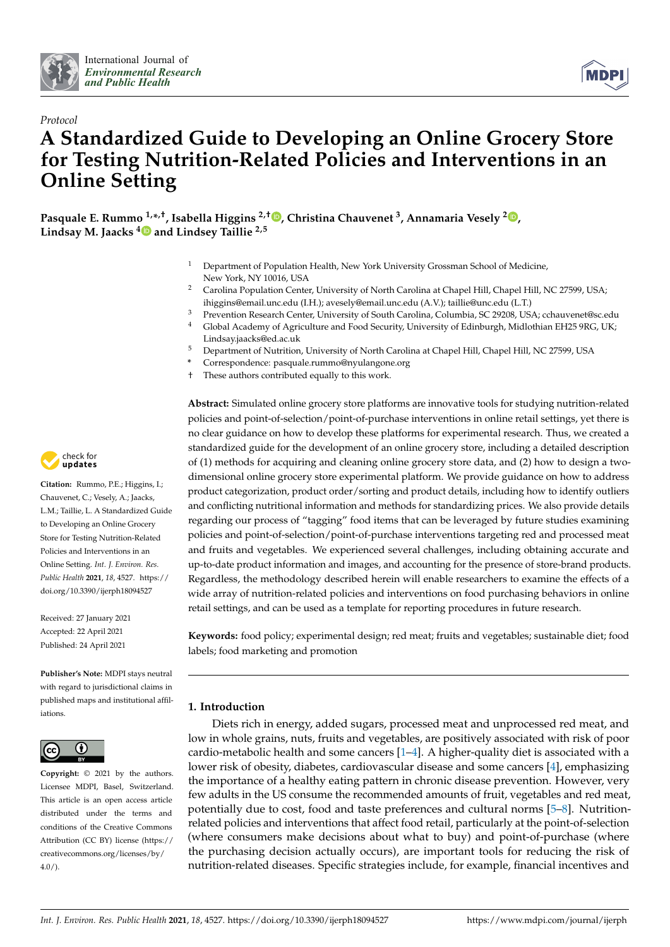



# *Protocol* **A Standardized Guide to Developing an Online Grocery Store for Testing Nutrition-Related Policies and Interventions in an Online Setting**

**Pasquale E. Rummo 1,\* ,†, Isabella Higgins 2,† [,](https://orcid.org/0000-0003-0241-2378) Christina Chauvenet <sup>3</sup> , Annamaria Vesely [2](https://orcid.org/0000-0003-2910-528X) , Lindsay M. Jaacks [4](https://orcid.org/0000-0002-7791-5167) and Lindsey Taillie 2,5**

- <sup>1</sup> Department of Population Health, New York University Grossman School of Medicine, New York, NY 10016, USA
- <sup>2</sup> Carolina Population Center, University of North Carolina at Chapel Hill, Chapel Hill, NC 27599, USA; ihiggins@email.unc.edu (I.H.); avesely@email.unc.edu (A.V.); taillie@unc.edu (L.T.)
- <sup>3</sup> Prevention Research Center, University of South Carolina, Columbia, SC 29208, USA; cchauvenet@sc.edu
- <sup>4</sup> Global Academy of Agriculture and Food Security, University of Edinburgh, Midlothian EH25 9RG, UK; Lindsay.jaacks@ed.ac.uk
- <sup>5</sup> Department of Nutrition, University of North Carolina at Chapel Hill, Chapel Hill, NC 27599, USA
- **\*** Correspondence: pasquale.rummo@nyulangone.org
- These authors contributed equally to this work.

**Abstract:** Simulated online grocery store platforms are innovative tools for studying nutrition-related policies and point-of-selection/point-of-purchase interventions in online retail settings, yet there is no clear guidance on how to develop these platforms for experimental research. Thus, we created a standardized guide for the development of an online grocery store, including a detailed description of (1) methods for acquiring and cleaning online grocery store data, and (2) how to design a twodimensional online grocery store experimental platform. We provide guidance on how to address product categorization, product order/sorting and product details, including how to identify outliers and conflicting nutritional information and methods for standardizing prices. We also provide details regarding our process of "tagging" food items that can be leveraged by future studies examining policies and point-of-selection/point-of-purchase interventions targeting red and processed meat and fruits and vegetables. We experienced several challenges, including obtaining accurate and up-to-date product information and images, and accounting for the presence of store-brand products. Regardless, the methodology described herein will enable researchers to examine the effects of a wide array of nutrition-related policies and interventions on food purchasing behaviors in online retail settings, and can be used as a template for reporting procedures in future research.

**Keywords:** food policy; experimental design; red meat; fruits and vegetables; sustainable diet; food labels; food marketing and promotion

# **1. Introduction**

Diets rich in energy, added sugars, processed meat and unprocessed red meat, and low in whole grains, nuts, fruits and vegetables, are positively associated with risk of poor cardio-metabolic health and some cancers [\[1–](#page-9-0)[4\]](#page-9-1). A higher-quality diet is associated with a lower risk of obesity, diabetes, cardiovascular disease and some cancers [\[4\]](#page-9-1), emphasizing the importance of a healthy eating pattern in chronic disease prevention. However, very few adults in the US consume the recommended amounts of fruit, vegetables and red meat, potentially due to cost, food and taste preferences and cultural norms [\[5](#page-9-2)[–8\]](#page-9-3). Nutritionrelated policies and interventions that affect food retail, particularly at the point-of-selection (where consumers make decisions about what to buy) and point-of-purchase (where the purchasing decision actually occurs), are important tools for reducing the risk of nutrition-related diseases. Specific strategies include, for example, financial incentives and



**Citation:** Rummo, P.E.; Higgins, I.; Chauvenet, C.; Vesely, A.; Jaacks, L.M.; Taillie, L. A Standardized Guide to Developing an Online Grocery Store for Testing Nutrition-Related Policies and Interventions in an Online Setting. *Int. J. Environ. Res. Public Health* **2021**, *18*, 4527. [https://](https://doi.org/10.3390/ijerph18094527) [doi.org/10.3390/ijerph18094527](https://doi.org/10.3390/ijerph18094527)

Received: 27 January 2021 Accepted: 22 April 2021 Published: 24 April 2021

**Publisher's Note:** MDPI stays neutral with regard to jurisdictional claims in published maps and institutional affiliations.



**Copyright:** © 2021 by the authors. Licensee MDPI, Basel, Switzerland. This article is an open access article distributed under the terms and conditions of the Creative Commons Attribution (CC BY) license (https:/[/](https://creativecommons.org/licenses/by/4.0/) [creativecommons.org/licenses/by/](https://creativecommons.org/licenses/by/4.0/)  $4.0/$ ).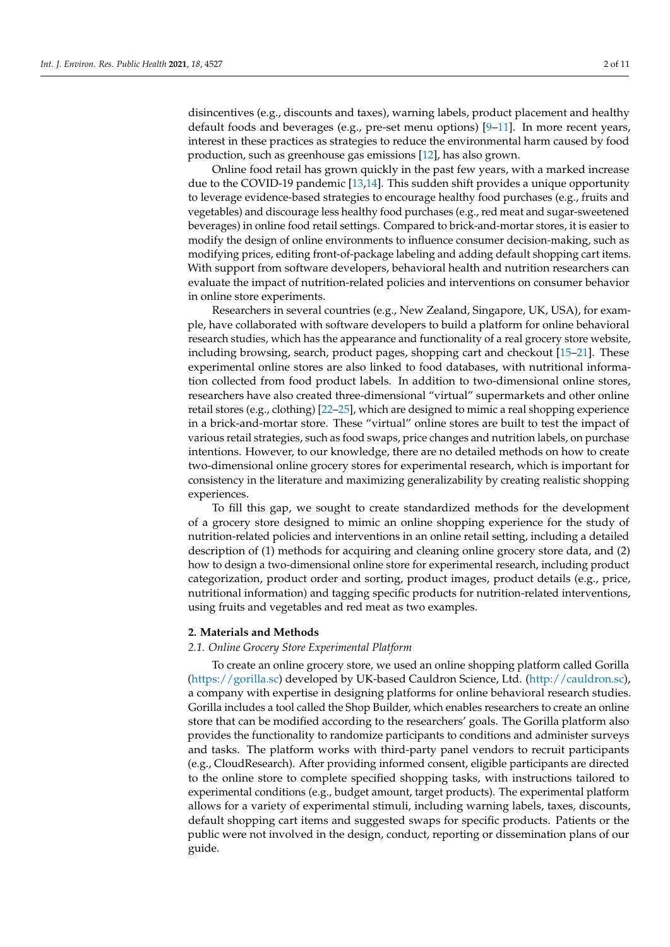disincentives (e.g., discounts and taxes), warning labels, product placement and healthy default foods and beverages (e.g., pre-set menu options) [\[9](#page-9-4)[–11\]](#page-9-5). In more recent years, interest in these practices as strategies to reduce the environmental harm caused by food production, such as greenhouse gas emissions [\[12\]](#page-9-6), has also grown.

Online food retail has grown quickly in the past few years, with a marked increase due to the COVID-19 pandemic [\[13](#page-9-7)[,14\]](#page-9-8). This sudden shift provides a unique opportunity to leverage evidence-based strategies to encourage healthy food purchases (e.g., fruits and vegetables) and discourage less healthy food purchases (e.g., red meat and sugar-sweetened beverages) in online food retail settings. Compared to brick-and-mortar stores, it is easier to modify the design of online environments to influence consumer decision-making, such as modifying prices, editing front-of-package labeling and adding default shopping cart items. With support from software developers, behavioral health and nutrition researchers can evaluate the impact of nutrition-related policies and interventions on consumer behavior in online store experiments.

Researchers in several countries (e.g., New Zealand, Singapore, UK, USA), for example, have collaborated with software developers to build a platform for online behavioral research studies, which has the appearance and functionality of a real grocery store website, including browsing, search, product pages, shopping cart and checkout [\[15–](#page-9-9)[21\]](#page-9-10). These experimental online stores are also linked to food databases, with nutritional information collected from food product labels. In addition to two-dimensional online stores, researchers have also created three-dimensional "virtual" supermarkets and other online retail stores (e.g., clothing) [\[22–](#page-9-11)[25\]](#page-10-0), which are designed to mimic a real shopping experience in a brick-and-mortar store. These "virtual" online stores are built to test the impact of various retail strategies, such as food swaps, price changes and nutrition labels, on purchase intentions. However, to our knowledge, there are no detailed methods on how to create two-dimensional online grocery stores for experimental research, which is important for consistency in the literature and maximizing generalizability by creating realistic shopping experiences.

To fill this gap, we sought to create standardized methods for the development of a grocery store designed to mimic an online shopping experience for the study of nutrition-related policies and interventions in an online retail setting, including a detailed description of (1) methods for acquiring and cleaning online grocery store data, and (2) how to design a two-dimensional online store for experimental research, including product categorization, product order and sorting, product images, product details (e.g., price, nutritional information) and tagging specific products for nutrition-related interventions, using fruits and vegetables and red meat as two examples.

#### **2. Materials and Methods**

#### *2.1. Online Grocery Store Experimental Platform*

To create an online grocery store, we used an online shopping platform called Gorilla [\(https://gorilla.sc\)](https://gorilla.sc) developed by UK-based Cauldron Science, Ltd. [\(http://cauldron.sc\)](http://cauldron.sc), a company with expertise in designing platforms for online behavioral research studies. Gorilla includes a tool called the Shop Builder, which enables researchers to create an online store that can be modified according to the researchers' goals. The Gorilla platform also provides the functionality to randomize participants to conditions and administer surveys and tasks. The platform works with third-party panel vendors to recruit participants (e.g., CloudResearch). After providing informed consent, eligible participants are directed to the online store to complete specified shopping tasks, with instructions tailored to experimental conditions (e.g., budget amount, target products). The experimental platform allows for a variety of experimental stimuli, including warning labels, taxes, discounts, default shopping cart items and suggested swaps for specific products. Patients or the public were not involved in the design, conduct, reporting or dissemination plans of our guide.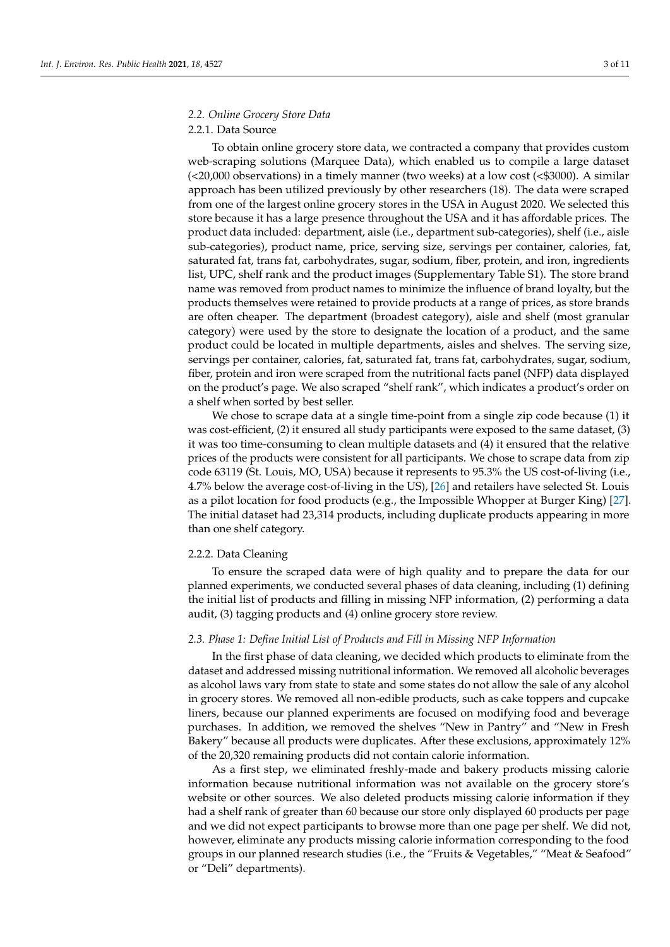# *2.2. Online Grocery Store Data*

# 2.2.1. Data Source

To obtain online grocery store data, we contracted a company that provides custom web-scraping solutions (Marquee Data), which enabled us to compile a large dataset  $\left($  <20,000 observations) in a timely manner (two weeks) at a low cost (<\$3000). A similar approach has been utilized previously by other researchers (18). The data were scraped from one of the largest online grocery stores in the USA in August 2020. We selected this store because it has a large presence throughout the USA and it has affordable prices. The product data included: department, aisle (i.e., department sub-categories), shelf (i.e., aisle sub-categories), product name, price, serving size, servings per container, calories, fat, saturated fat, trans fat, carbohydrates, sugar, sodium, fiber, protein, and iron, ingredients list, UPC, shelf rank and the product images (Supplementary Table S1). The store brand name was removed from product names to minimize the influence of brand loyalty, but the products themselves were retained to provide products at a range of prices, as store brands are often cheaper. The department (broadest category), aisle and shelf (most granular category) were used by the store to designate the location of a product, and the same product could be located in multiple departments, aisles and shelves. The serving size, servings per container, calories, fat, saturated fat, trans fat, carbohydrates, sugar, sodium, fiber, protein and iron were scraped from the nutritional facts panel (NFP) data displayed on the product's page. We also scraped "shelf rank", which indicates a product's order on a shelf when sorted by best seller.

We chose to scrape data at a single time-point from a single zip code because (1) it was cost-efficient, (2) it ensured all study participants were exposed to the same dataset, (3) it was too time-consuming to clean multiple datasets and (4) it ensured that the relative prices of the products were consistent for all participants. We chose to scrape data from zip code 63119 (St. Louis, MO, USA) because it represents to 95.3% the US cost-of-living (i.e., 4.7% below the average cost-of-living in the US), [\[26\]](#page-10-1) and retailers have selected St. Louis as a pilot location for food products (e.g., the Impossible Whopper at Burger King) [\[27\]](#page-10-2). The initial dataset had 23,314 products, including duplicate products appearing in more than one shelf category.

#### 2.2.2. Data Cleaning

To ensure the scraped data were of high quality and to prepare the data for our planned experiments, we conducted several phases of data cleaning, including (1) defining the initial list of products and filling in missing NFP information, (2) performing a data audit, (3) tagging products and (4) online grocery store review.

#### *2.3. Phase 1: Define Initial List of Products and Fill in Missing NFP Information*

In the first phase of data cleaning, we decided which products to eliminate from the dataset and addressed missing nutritional information. We removed all alcoholic beverages as alcohol laws vary from state to state and some states do not allow the sale of any alcohol in grocery stores. We removed all non-edible products, such as cake toppers and cupcake liners, because our planned experiments are focused on modifying food and beverage purchases. In addition, we removed the shelves "New in Pantry" and "New in Fresh Bakery" because all products were duplicates. After these exclusions, approximately 12% of the 20,320 remaining products did not contain calorie information.

As a first step, we eliminated freshly-made and bakery products missing calorie information because nutritional information was not available on the grocery store's website or other sources. We also deleted products missing calorie information if they had a shelf rank of greater than 60 because our store only displayed 60 products per page and we did not expect participants to browse more than one page per shelf. We did not, however, eliminate any products missing calorie information corresponding to the food groups in our planned research studies (i.e., the "Fruits & Vegetables," "Meat & Seafood" or "Deli" departments).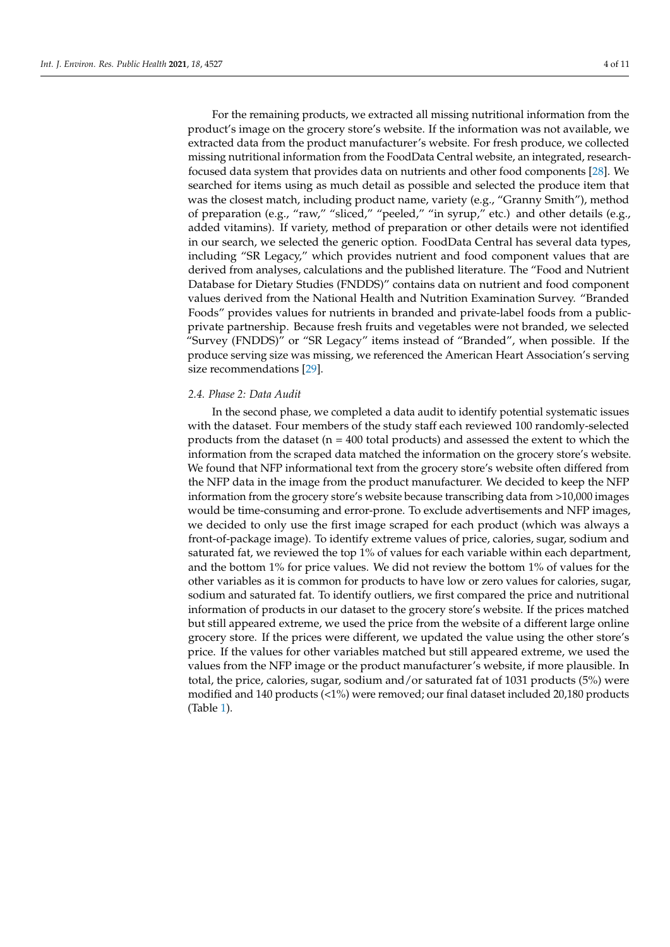For the remaining products, we extracted all missing nutritional information from the product's image on the grocery store's website. If the information was not available, we extracted data from the product manufacturer's website. For fresh produce, we collected missing nutritional information from the FoodData Central website, an integrated, researchfocused data system that provides data on nutrients and other food components [\[28\]](#page-10-3). We searched for items using as much detail as possible and selected the produce item that was the closest match, including product name, variety (e.g., "Granny Smith"), method of preparation (e.g., "raw," "sliced," "peeled," "in syrup," etc.) and other details (e.g., added vitamins). If variety, method of preparation or other details were not identified in our search, we selected the generic option. FoodData Central has several data types, including "SR Legacy," which provides nutrient and food component values that are derived from analyses, calculations and the published literature. The "Food and Nutrient Database for Dietary Studies (FNDDS)" contains data on nutrient and food component values derived from the National Health and Nutrition Examination Survey. "Branded Foods" provides values for nutrients in branded and private-label foods from a publicprivate partnership. Because fresh fruits and vegetables were not branded, we selected "Survey (FNDDS)" or "SR Legacy" items instead of "Branded", when possible. If the produce serving size was missing, we referenced the American Heart Association's serving size recommendations [\[29\]](#page-10-4).

### *2.4. Phase 2: Data Audit*

In the second phase, we completed a data audit to identify potential systematic issues with the dataset. Four members of the study staff each reviewed 100 randomly-selected products from the dataset ( $n = 400$  total products) and assessed the extent to which the information from the scraped data matched the information on the grocery store's website. We found that NFP informational text from the grocery store's website often differed from the NFP data in the image from the product manufacturer. We decided to keep the NFP information from the grocery store's website because transcribing data from >10,000 images would be time-consuming and error-prone. To exclude advertisements and NFP images, we decided to only use the first image scraped for each product (which was always a front-of-package image). To identify extreme values of price, calories, sugar, sodium and saturated fat, we reviewed the top 1% of values for each variable within each department, and the bottom 1% for price values. We did not review the bottom 1% of values for the other variables as it is common for products to have low or zero values for calories, sugar, sodium and saturated fat. To identify outliers, we first compared the price and nutritional information of products in our dataset to the grocery store's website. If the prices matched but still appeared extreme, we used the price from the website of a different large online grocery store. If the prices were different, we updated the value using the other store's price. If the values for other variables matched but still appeared extreme, we used the values from the NFP image or the product manufacturer's website, if more plausible. In total, the price, calories, sugar, sodium and/or saturated fat of 1031 products (5%) were modified and 140 products (<1%) were removed; our final dataset included 20,180 products (Table [1\)](#page-4-0).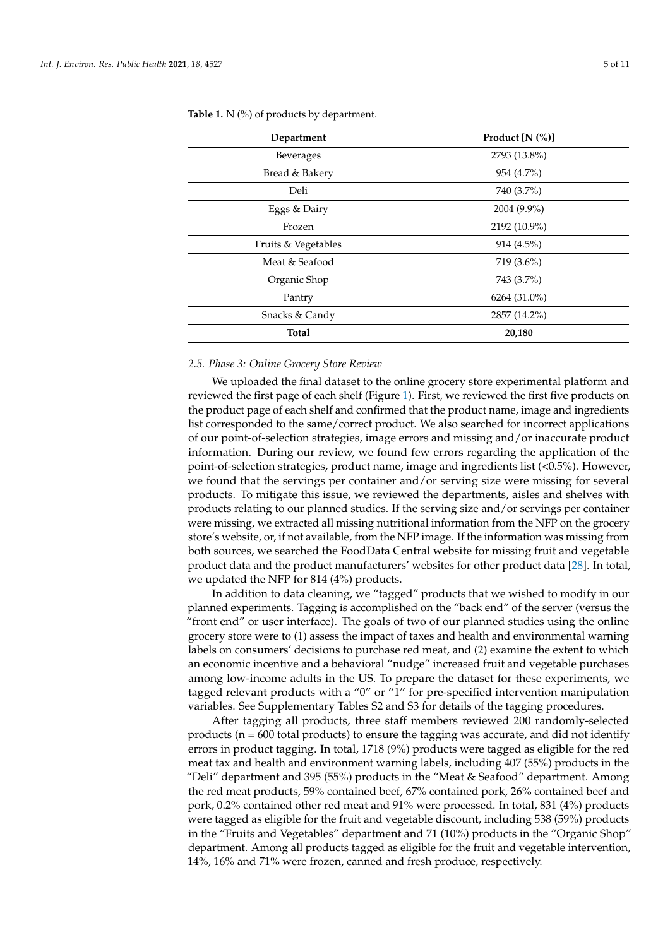| Department          | Product $[N (%)]$ |
|---------------------|-------------------|
| <b>Beverages</b>    | 2793 (13.8%)      |
| Bread & Bakery      | 954 (4.7%)        |
| Deli                | 740 (3.7%)        |
| Eggs & Dairy        | 2004 (9.9%)       |
| Frozen              | 2192 (10.9%)      |
| Fruits & Vegetables | 914 (4.5%)        |
| Meat & Seafood      | 719 (3.6%)        |
| Organic Shop        | 743 (3.7%)        |
| Pantry              | 6264 (31.0%)      |
| Snacks & Candy      | 2857 (14.2%)      |
| <b>Total</b>        | 20,180            |

<span id="page-4-0"></span>Table 1. N (%) of products by department.

#### *2.5. Phase 3: Online Grocery Store Review*

We uploaded the final dataset to the online grocery store experimental platform and reviewed the first page of each shelf (Figure [1\)](#page-5-0). First, we reviewed the first five products on the product page of each shelf and confirmed that the product name, image and ingredients list corresponded to the same/correct product. We also searched for incorrect applications of our point-of-selection strategies, image errors and missing and/or inaccurate product information. During our review, we found few errors regarding the application of the point-of-selection strategies, product name, image and ingredients list (<0.5%). However, we found that the servings per container and/or serving size were missing for several products. To mitigate this issue, we reviewed the departments, aisles and shelves with products relating to our planned studies. If the serving size and/or servings per container were missing, we extracted all missing nutritional information from the NFP on the grocery store's website, or, if not available, from the NFP image. If the information was missing from both sources, we searched the FoodData Central website for missing fruit and vegetable product data and the product manufacturers' websites for other product data [\[28\]](#page-10-3). In total, we updated the NFP for 814 (4%) products.

In addition to data cleaning, we "tagged" products that we wished to modify in our planned experiments. Tagging is accomplished on the "back end" of the server (versus the "front end" or user interface). The goals of two of our planned studies using the online grocery store were to (1) assess the impact of taxes and health and environmental warning labels on consumers' decisions to purchase red meat, and (2) examine the extent to which an economic incentive and a behavioral "nudge" increased fruit and vegetable purchases among low-income adults in the US. To prepare the dataset for these experiments, we tagged relevant products with a "0" or "1" for pre-specified intervention manipulation variables. See Supplementary Tables S2 and S3 for details of the tagging procedures.

After tagging all products, three staff members reviewed 200 randomly-selected products ( $n = 600$  total products) to ensure the tagging was accurate, and did not identify errors in product tagging. In total, 1718 (9%) products were tagged as eligible for the red meat tax and health and environment warning labels, including 407 (55%) products in the "Deli" department and 395 (55%) products in the "Meat & Seafood" department. Among the red meat products, 59% contained beef, 67% contained pork, 26% contained beef and pork, 0.2% contained other red meat and 91% were processed. In total, 831 (4%) products were tagged as eligible for the fruit and vegetable discount, including 538 (59%) products in the "Fruits and Vegetables" department and 71 (10%) products in the "Organic Shop" department. Among all products tagged as eligible for the fruit and vegetable intervention, 14%, 16% and 71% were frozen, canned and fresh produce, respectively.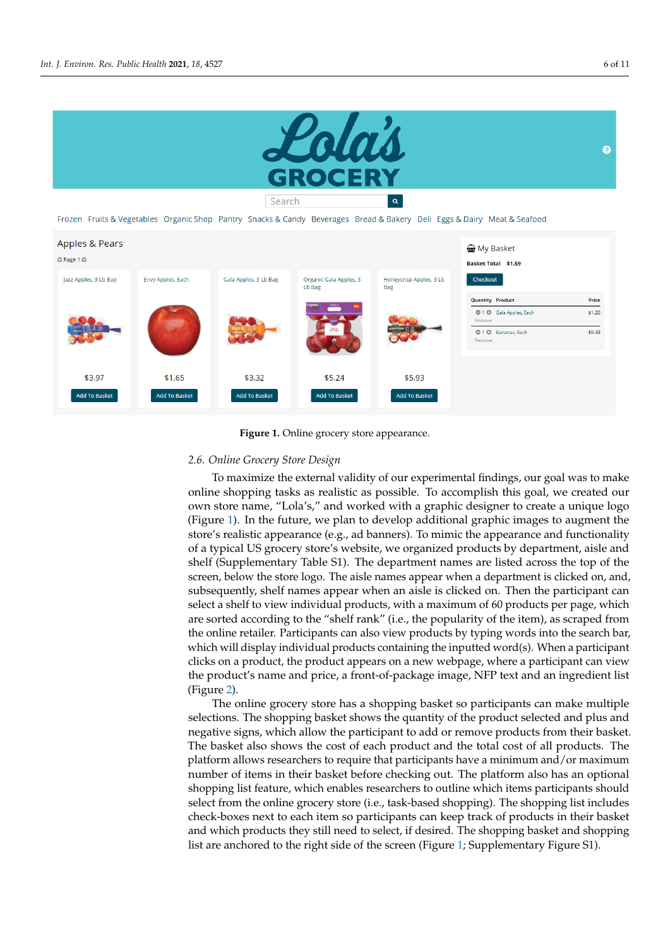<span id="page-5-0"></span>



**Figure 1.** Online grocery store appearance. **Figure 1.** Online grocery store appearance.

# In addition to data cleaning, we "tagged" products that we wished to modify in our *2.6. Online Grocery Store Design*

To maximize the external validity of our experimental findings, our goal was to make online shopping tasks as realistic as possible. To accomplish this goal, we created our planned shopping tasks as realistic as possible. To accomplish this goal, we created our own store name, "Lola's," and worked with a graphic designer to create a unique logo (Figure [1\)](#page-5-0). In the future, we plan to develop additional graphic images to augment the store's realistic appearance (e.g., ad banners). To mimic the appearance and functionality of a typical US grocery store's website, we organized products by department, aisle and shelf (Supplementary Table S1). The department names are listed across the top of the screen, below the store logo. The aisle names appear when a department is clicked on, and, subsequently, shelf names appear when an aisle is clicked on. Then the participant can select a shelf to view individual products, with a maximum of 60 products per page, which are sorted according to the "shelf rank" (i.e., the popularity of the item), as scraped from the online retailer. Participants can also view products by typing words into the search bar, which will display individual products containing the inputted word(s). When a participant clicks on a product, the product appears on a new webpage, where a participant can view the product's name and price, a front-of-package image, NFP text and an ingredient list (Figure [2\)](#page-6-0).

The online grocery store has a shopping basket so participants can make multiple selections. The shopping basket shows the quantity of the product selected and plus and negative signs, which allow the participant to add or remove products from their basket. The basket also shows the cost of each product and the total cost of all products. The platform allows researchers to require that participants have a minimum and/or maximum number of items in their basket before checking out. The platform also has an optional shopping list feature, which enables researchers to outline which items participants should select from the online grocery store (i.e., task-based shopping). The shopping list includes check-boxes next to each item so participants can keep track of products in their basket and which products they still need to select, if desired. The shopping basket and shopping list are anchored to the right side of the screen (Figure [1;](#page-5-0) Supplementary Figure S1).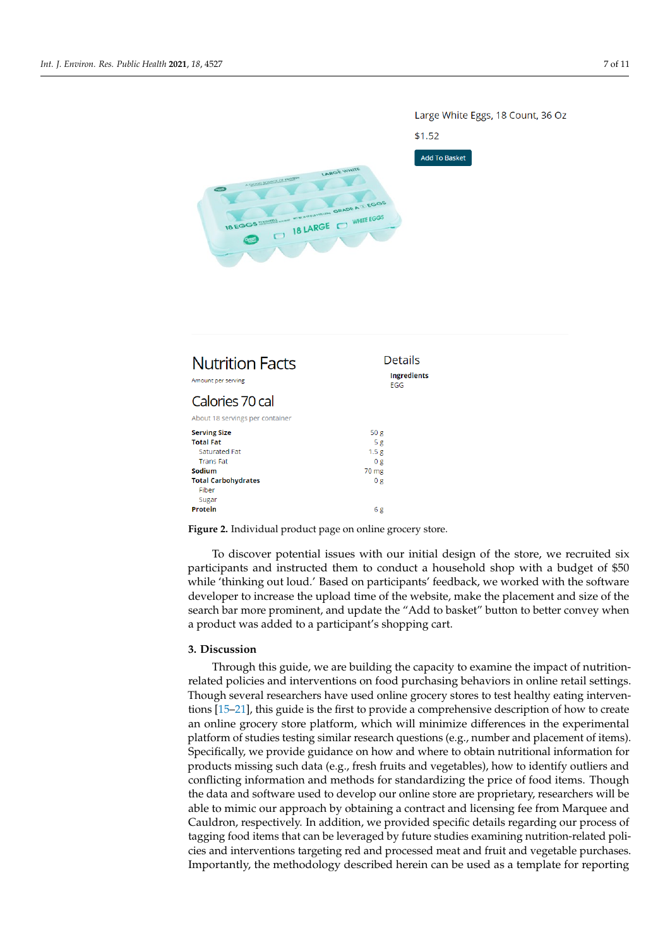<span id="page-6-0"></span>

| <b>Nutrition Facts</b><br>Amount per serving | Details<br><b>Ingredients</b><br>EGG |
|----------------------------------------------|--------------------------------------|
| Calories 70 cal                              |                                      |
| About 18 servings per container              |                                      |
| <b>Serving Size</b>                          | 50 <sub>g</sub>                      |
| <b>Total Fat</b>                             | 5g                                   |
| Saturated Fat                                | 1.5 <sub>g</sub>                     |
| <b>Trans Fat</b>                             | 0 g                                  |
| Sodium                                       | 70 mg                                |
| <b>Total Carbohydrates</b>                   | 0 g                                  |
| Fiber                                        |                                      |
| Sugar                                        |                                      |
| Protein                                      | 6 g                                  |

**Figure 2.** Individual product page on online grocery store. **Figure 2.** Individual product page on online grocery store.

To discover potential issues with our initial design of the store, we recruited six participants and instructed them to conduct a nouschold shop with a budget of \$50 while 'thinking out loud.' Based on participants' feedback, we worked with the software developer to increase the upload time of the website, make the placement and size of the developer to increase the application of the website, make the plate-ment and size of the search bar more prominent, and update the "Add to basket" button to better convey when form all  $\alpha$  researchers to require that  $\alpha$  is required to require that  $\alpha$  minimum and  $\alpha$  minimum and  $\alpha$  minimum and  $\alpha$  minimum and  $\alpha$  minimum and  $\alpha$  minimum and  $\alpha$  minimum and  $\alpha$  minimum and  $\alpha$  minim a product was added to a participant's shopping cart. participants and instructed them to conduct a household shop with a budget of \$50

# shopping list feature, which enables researchers to outline which items participants **3. Discussion**

Through this guide, we are building the capacity to examine the impact of nutritionrelated policies and interventions on food purchasing behaviors in online retail settings. basket and which products they still need to select, if desired. The shopping basket and Though several researchers have used online grocery stores to test healthy eating interven-tions [\[15–](#page-9-9)[21\]](#page-9-10), this guide is the first to provide a comprehensive description of how to create an online grocery store platform, which will minimize differences in the experimental platform of studies testing similar research questions (e.g., number and placement of items). the specifically, we provide guidance on how and where to obtain nutritional information for products missing such data (e.g., fresh fruits and vegetables), how to identify outliers and conflicting information and methods for standardizing the price of food items. Though the data and software used to develop our online store are proprietary, researchers will be able to mimic our approach by obtaining a contract and licensing fee from Marquee and Cauldron, respectively. In addition, we provided specific details regarding our process of tagging food items that can be leveraged by future studies examining nutrition-related policies and interventions targeting red and processed meat and fruit and vegetable purchases. Importantly, the methodology described herein can be used as a template for reporting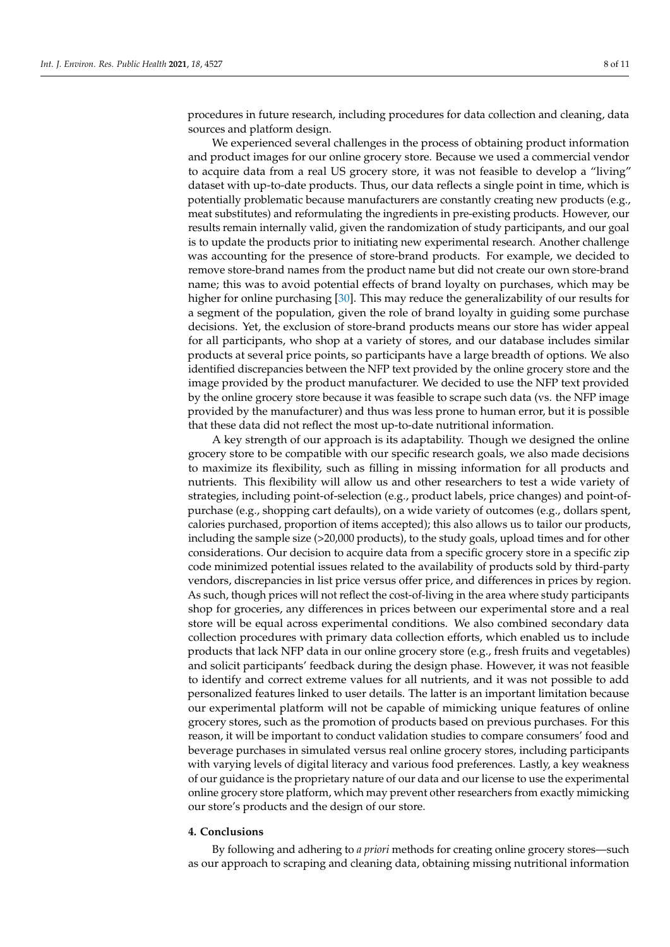procedures in future research, including procedures for data collection and cleaning, data sources and platform design.

We experienced several challenges in the process of obtaining product information and product images for our online grocery store. Because we used a commercial vendor to acquire data from a real US grocery store, it was not feasible to develop a "living" dataset with up-to-date products. Thus, our data reflects a single point in time, which is potentially problematic because manufacturers are constantly creating new products (e.g., meat substitutes) and reformulating the ingredients in pre-existing products. However, our results remain internally valid, given the randomization of study participants, and our goal is to update the products prior to initiating new experimental research. Another challenge was accounting for the presence of store-brand products. For example, we decided to remove store-brand names from the product name but did not create our own store-brand name; this was to avoid potential effects of brand loyalty on purchases, which may be higher for online purchasing [\[30\]](#page-10-5). This may reduce the generalizability of our results for a segment of the population, given the role of brand loyalty in guiding some purchase decisions. Yet, the exclusion of store-brand products means our store has wider appeal for all participants, who shop at a variety of stores, and our database includes similar products at several price points, so participants have a large breadth of options. We also identified discrepancies between the NFP text provided by the online grocery store and the image provided by the product manufacturer. We decided to use the NFP text provided by the online grocery store because it was feasible to scrape such data (vs. the NFP image provided by the manufacturer) and thus was less prone to human error, but it is possible that these data did not reflect the most up-to-date nutritional information.

A key strength of our approach is its adaptability. Though we designed the online grocery store to be compatible with our specific research goals, we also made decisions to maximize its flexibility, such as filling in missing information for all products and nutrients. This flexibility will allow us and other researchers to test a wide variety of strategies, including point-of-selection (e.g., product labels, price changes) and point-ofpurchase (e.g., shopping cart defaults), on a wide variety of outcomes (e.g., dollars spent, calories purchased, proportion of items accepted); this also allows us to tailor our products, including the sample size (>20,000 products), to the study goals, upload times and for other considerations. Our decision to acquire data from a specific grocery store in a specific zip code minimized potential issues related to the availability of products sold by third-party vendors, discrepancies in list price versus offer price, and differences in prices by region. As such, though prices will not reflect the cost-of-living in the area where study participants shop for groceries, any differences in prices between our experimental store and a real store will be equal across experimental conditions. We also combined secondary data collection procedures with primary data collection efforts, which enabled us to include products that lack NFP data in our online grocery store (e.g., fresh fruits and vegetables) and solicit participants' feedback during the design phase. However, it was not feasible to identify and correct extreme values for all nutrients, and it was not possible to add personalized features linked to user details. The latter is an important limitation because our experimental platform will not be capable of mimicking unique features of online grocery stores, such as the promotion of products based on previous purchases. For this reason, it will be important to conduct validation studies to compare consumers' food and beverage purchases in simulated versus real online grocery stores, including participants with varying levels of digital literacy and various food preferences. Lastly, a key weakness of our guidance is the proprietary nature of our data and our license to use the experimental online grocery store platform, which may prevent other researchers from exactly mimicking our store's products and the design of our store.

#### **4. Conclusions**

By following and adhering to *a priori* methods for creating online grocery stores—such as our approach to scraping and cleaning data, obtaining missing nutritional information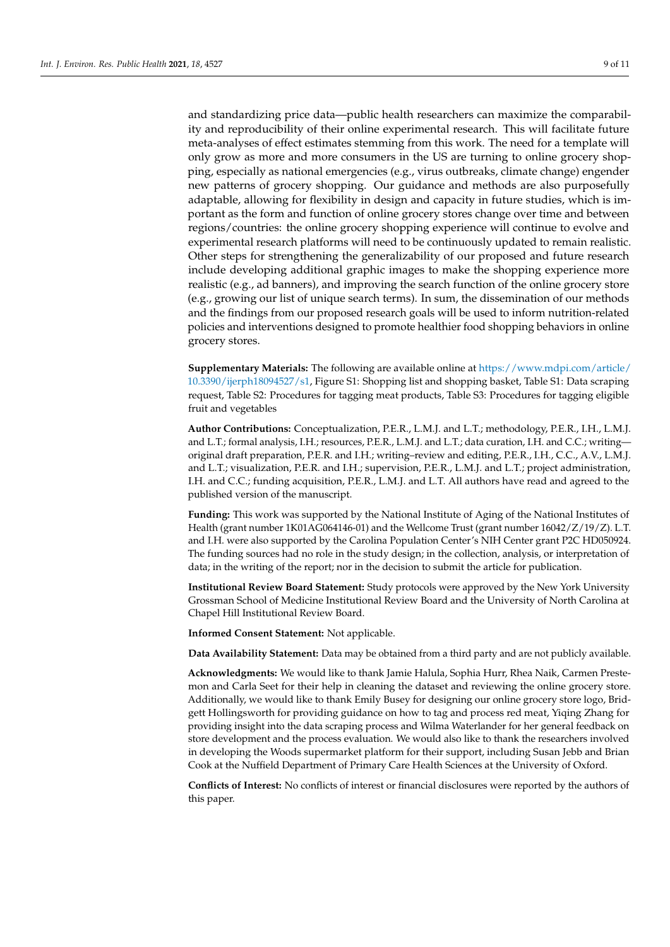and standardizing price data—public health researchers can maximize the comparability and reproducibility of their online experimental research. This will facilitate future meta-analyses of effect estimates stemming from this work. The need for a template will only grow as more and more consumers in the US are turning to online grocery shopping, especially as national emergencies (e.g., virus outbreaks, climate change) engender new patterns of grocery shopping. Our guidance and methods are also purposefully adaptable, allowing for flexibility in design and capacity in future studies, which is important as the form and function of online grocery stores change over time and between regions/countries: the online grocery shopping experience will continue to evolve and experimental research platforms will need to be continuously updated to remain realistic. Other steps for strengthening the generalizability of our proposed and future research include developing additional graphic images to make the shopping experience more realistic (e.g., ad banners), and improving the search function of the online grocery store (e.g., growing our list of unique search terms). In sum, the dissemination of our methods and the findings from our proposed research goals will be used to inform nutrition-related policies and interventions designed to promote healthier food shopping behaviors in online grocery stores.

**Supplementary Materials:** The following are available online at [https://www.mdpi.com/article/](https://www.mdpi.com/article/10.3390/ijerph18094527/s1) [10.3390/ijerph18094527/s1,](https://www.mdpi.com/article/10.3390/ijerph18094527/s1) Figure S1: Shopping list and shopping basket, Table S1: Data scraping request, Table S2: Procedures for tagging meat products, Table S3: Procedures for tagging eligible fruit and vegetables

**Author Contributions:** Conceptualization, P.E.R., L.M.J. and L.T.; methodology, P.E.R., I.H., L.M.J. and L.T.; formal analysis, I.H.; resources, P.E.R., L.M.J. and L.T.; data curation, I.H. and C.C.; writing original draft preparation, P.E.R. and I.H.; writing–review and editing, P.E.R., I.H., C.C., A.V., L.M.J. and L.T.; visualization, P.E.R. and I.H.; supervision, P.E.R., L.M.J. and L.T.; project administration, I.H. and C.C.; funding acquisition, P.E.R., L.M.J. and L.T. All authors have read and agreed to the published version of the manuscript.

**Funding:** This work was supported by the National Institute of Aging of the National Institutes of Health (grant number 1K01AG064146-01) and the Wellcome Trust (grant number 16042/Z/19/Z). L.T. and I.H. were also supported by the Carolina Population Center's NIH Center grant P2C HD050924. The funding sources had no role in the study design; in the collection, analysis, or interpretation of data; in the writing of the report; nor in the decision to submit the article for publication.

**Institutional Review Board Statement:** Study protocols were approved by the New York University Grossman School of Medicine Institutional Review Board and the University of North Carolina at Chapel Hill Institutional Review Board.

**Informed Consent Statement:** Not applicable.

**Data Availability Statement:** Data may be obtained from a third party and are not publicly available.

**Acknowledgments:** We would like to thank Jamie Halula, Sophia Hurr, Rhea Naik, Carmen Prestemon and Carla Seet for their help in cleaning the dataset and reviewing the online grocery store. Additionally, we would like to thank Emily Busey for designing our online grocery store logo, Bridgett Hollingsworth for providing guidance on how to tag and process red meat, Yiqing Zhang for providing insight into the data scraping process and Wilma Waterlander for her general feedback on store development and the process evaluation. We would also like to thank the researchers involved in developing the Woods supermarket platform for their support, including Susan Jebb and Brian Cook at the Nuffield Department of Primary Care Health Sciences at the University of Oxford.

**Conflicts of Interest:** No conflicts of interest or financial disclosures were reported by the authors of this paper.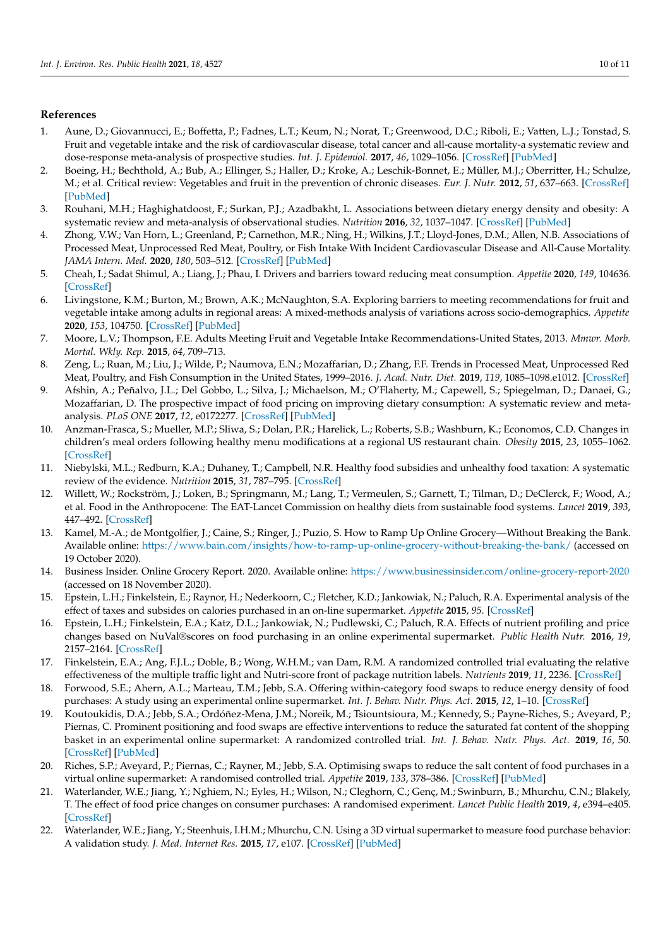## **References**

- <span id="page-9-0"></span>1. Aune, D.; Giovannucci, E.; Boffetta, P.; Fadnes, L.T.; Keum, N.; Norat, T.; Greenwood, D.C.; Riboli, E.; Vatten, L.J.; Tonstad, S. Fruit and vegetable intake and the risk of cardiovascular disease, total cancer and all-cause mortality-a systematic review and dose-response meta-analysis of prospective studies. *Int. J. Epidemiol.* **2017**, *46*, 1029–1056. [\[CrossRef\]](http://doi.org/10.1093/ije/dyw319) [\[PubMed\]](http://www.ncbi.nlm.nih.gov/pubmed/28338764)
- 2. Boeing, H.; Bechthold, A.; Bub, A.; Ellinger, S.; Haller, D.; Kroke, A.; Leschik-Bonnet, E.; Müller, M.J.; Oberritter, H.; Schulze, M.; et al. Critical review: Vegetables and fruit in the prevention of chronic diseases. *Eur. J. Nutr.* **2012**, *51*, 637–663. [\[CrossRef\]](http://doi.org/10.1007/s00394-012-0380-y) [\[PubMed\]](http://www.ncbi.nlm.nih.gov/pubmed/22684631)
- 3. Rouhani, M.H.; Haghighatdoost, F.; Surkan, P.J.; Azadbakht, L. Associations between dietary energy density and obesity: A systematic review and meta-analysis of observational studies. *Nutrition* **2016**, *32*, 1037–1047. [\[CrossRef\]](http://doi.org/10.1016/j.nut.2016.03.017) [\[PubMed\]](http://www.ncbi.nlm.nih.gov/pubmed/27238958)
- <span id="page-9-1"></span>4. Zhong, V.W.; Van Horn, L.; Greenland, P.; Carnethon, M.R.; Ning, H.; Wilkins, J.T.; Lloyd-Jones, D.M.; Allen, N.B. Associations of Processed Meat, Unprocessed Red Meat, Poultry, or Fish Intake With Incident Cardiovascular Disease and All-Cause Mortality. *JAMA Intern. Med.* **2020**, *180*, 503–512. [\[CrossRef\]](http://doi.org/10.1001/jamainternmed.2019.6969) [\[PubMed\]](http://www.ncbi.nlm.nih.gov/pubmed/32011623)
- <span id="page-9-2"></span>5. Cheah, I.; Sadat Shimul, A.; Liang, J.; Phau, I. Drivers and barriers toward reducing meat consumption. *Appetite* **2020**, *149*, 104636. [\[CrossRef\]](http://doi.org/10.1016/j.appet.2020.104636)
- 6. Livingstone, K.M.; Burton, M.; Brown, A.K.; McNaughton, S.A. Exploring barriers to meeting recommendations for fruit and vegetable intake among adults in regional areas: A mixed-methods analysis of variations across socio-demographics. *Appetite* **2020**, *153*, 104750. [\[CrossRef\]](http://doi.org/10.1016/j.appet.2020.104750) [\[PubMed\]](http://www.ncbi.nlm.nih.gov/pubmed/32461195)
- 7. Moore, L.V.; Thompson, F.E. Adults Meeting Fruit and Vegetable Intake Recommendations-United States, 2013. *Mmwr. Morb. Mortal. Wkly. Rep.* **2015**, *64*, 709–713.
- <span id="page-9-3"></span>8. Zeng, L.; Ruan, M.; Liu, J.; Wilde, P.; Naumova, E.N.; Mozaffarian, D.; Zhang, F.F. Trends in Processed Meat, Unprocessed Red Meat, Poultry, and Fish Consumption in the United States, 1999–2016. *J. Acad. Nutr. Diet.* **2019**, *119*, 1085–1098.e1012. [\[CrossRef\]](http://doi.org/10.1016/j.jand.2019.04.004)
- <span id="page-9-4"></span>9. Afshin, A.; Peñalvo, J.L.; Del Gobbo, L.; Silva, J.; Michaelson, M.; O'Flaherty, M.; Capewell, S.; Spiegelman, D.; Danaei, G.; Mozaffarian, D. The prospective impact of food pricing on improving dietary consumption: A systematic review and metaanalysis. *PLoS ONE* **2017**, *12*, e0172277. [\[CrossRef\]](http://doi.org/10.1371/journal.pone.0172277) [\[PubMed\]](http://www.ncbi.nlm.nih.gov/pubmed/28249003)
- 10. Anzman-Frasca, S.; Mueller, M.P.; Sliwa, S.; Dolan, P.R.; Harelick, L.; Roberts, S.B.; Washburn, K.; Economos, C.D. Changes in children's meal orders following healthy menu modifications at a regional US restaurant chain. *Obesity* **2015**, *23*, 1055–1062. [\[CrossRef\]](http://doi.org/10.1002/oby.21061)
- <span id="page-9-5"></span>11. Niebylski, M.L.; Redburn, K.A.; Duhaney, T.; Campbell, N.R. Healthy food subsidies and unhealthy food taxation: A systematic review of the evidence. *Nutrition* **2015**, *31*, 787–795. [\[CrossRef\]](http://doi.org/10.1016/j.nut.2014.12.010)
- <span id="page-9-6"></span>12. Willett, W.; Rockström, J.; Loken, B.; Springmann, M.; Lang, T.; Vermeulen, S.; Garnett, T.; Tilman, D.; DeClerck, F.; Wood, A.; et al. Food in the Anthropocene: The EAT-Lancet Commission on healthy diets from sustainable food systems. *Lancet* **2019**, *393*, 447–492. [\[CrossRef\]](http://doi.org/10.1016/S0140-6736(18)31788-4)
- <span id="page-9-7"></span>13. Kamel, M.-A.; de Montgolfier, J.; Caine, S.; Ringer, J.; Puzio, S. How to Ramp Up Online Grocery—Without Breaking the Bank. Available online: <https://www.bain.com/insights/how-to-ramp-up-online-grocery-without-breaking-the-bank/> (accessed on 19 October 2020).
- <span id="page-9-8"></span>14. Business Insider. Online Grocery Report. 2020. Available online: <https://www.businessinsider.com/online-grocery-report-2020> (accessed on 18 November 2020).
- <span id="page-9-9"></span>15. Epstein, L.H.; Finkelstein, E.; Raynor, H.; Nederkoorn, C.; Fletcher, K.D.; Jankowiak, N.; Paluch, R.A. Experimental analysis of the effect of taxes and subsides on calories purchased in an on-line supermarket. *Appetite* **2015**, *95*. [\[CrossRef\]](http://doi.org/10.1016/j.appet.2015.06.020)
- 16. Epstein, L.H.; Finkelstein, E.A.; Katz, D.L.; Jankowiak, N.; Pudlewski, C.; Paluch, R.A. Effects of nutrient profiling and price changes based on NuVal®scores on food purchasing in an online experimental supermarket. *Public Health Nutr.* **2016**, *19*, 2157–2164. [\[CrossRef\]](http://doi.org/10.1017/S1368980015002931)
- 17. Finkelstein, E.A.; Ang, F.J.L.; Doble, B.; Wong, W.H.M.; van Dam, R.M. A randomized controlled trial evaluating the relative effectiveness of the multiple traffic light and Nutri-score front of package nutrition labels. *Nutrients* **2019**, *11*, 2236. [\[CrossRef\]](http://doi.org/10.3390/nu11092236)
- 18. Forwood, S.E.; Ahern, A.L.; Marteau, T.M.; Jebb, S.A. Offering within-category food swaps to reduce energy density of food purchases: A study using an experimental online supermarket. *Int. J. Behav. Nutr. Phys. Act.* **2015**, *12*, 1–10. [\[CrossRef\]](http://doi.org/10.1186/s12966-015-0241-1)
- 19. Koutoukidis, D.A.; Jebb, S.A.; Ordóñez-Mena, J.M.; Noreik, M.; Tsiountsioura, M.; Kennedy, S.; Payne-Riches, S.; Aveyard, P.; Piernas, C. Prominent positioning and food swaps are effective interventions to reduce the saturated fat content of the shopping basket in an experimental online supermarket: A randomized controlled trial. *Int. J. Behav. Nutr. Phys. Act.* **2019**, *16*, 50. [\[CrossRef\]](http://doi.org/10.1186/s12966-019-0810-9) [\[PubMed\]](http://www.ncbi.nlm.nih.gov/pubmed/31174547)
- 20. Riches, S.P.; Aveyard, P.; Piernas, C.; Rayner, M.; Jebb, S.A. Optimising swaps to reduce the salt content of food purchases in a virtual online supermarket: A randomised controlled trial. *Appetite* **2019**, *133*, 378–386. [\[CrossRef\]](http://doi.org/10.1016/j.appet.2018.11.028) [\[PubMed\]](http://www.ncbi.nlm.nih.gov/pubmed/30502442)
- <span id="page-9-10"></span>21. Waterlander, W.E.; Jiang, Y.; Nghiem, N.; Eyles, H.; Wilson, N.; Cleghorn, C.; Genç, M.; Swinburn, B.; Mhurchu, C.N.; Blakely, T. The effect of food price changes on consumer purchases: A randomised experiment. *Lancet Public Health* **2019**, *4*, e394–e405. [\[CrossRef\]](http://doi.org/10.1016/S2468-2667(19)30105-7)
- <span id="page-9-11"></span>22. Waterlander, W.E.; Jiang, Y.; Steenhuis, I.H.M.; Mhurchu, C.N. Using a 3D virtual supermarket to measure food purchase behavior: A validation study. *J. Med. Internet Res.* **2015**, *17*, e107. [\[CrossRef\]](http://doi.org/10.2196/jmir.3774) [\[PubMed\]](http://www.ncbi.nlm.nih.gov/pubmed/25921185)